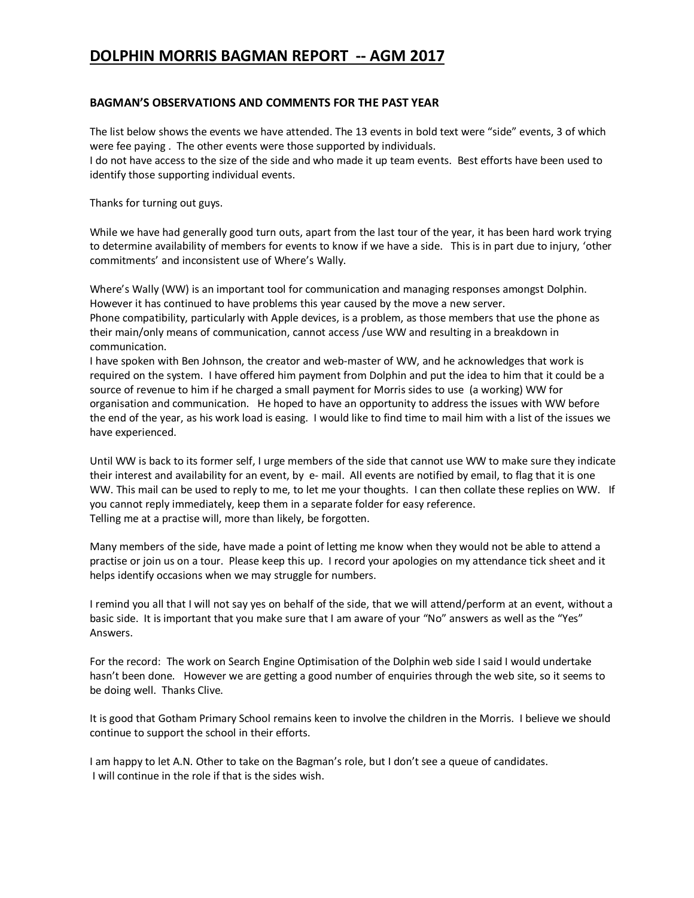# **DOLPHIN MORRIS BAGMAN REPORT -- AGM 2017**

## **BAGMAN'S OBSERVATIONS AND COMMENTS FOR THE PAST YEAR**

The list below shows the events we have attended. The 13 events in bold text were "side" events, 3 of which were fee paying . The other events were those supported by individuals. I do not have access to the size of the side and who made it up team events. Best efforts have been used to identify those supporting individual events.

Thanks for turning out guys.

While we have had generally good turn outs, apart from the last tour of the year, it has been hard work trying to determine availability of members for events to know if we have a side. This is in part due to injury, 'other commitments' and inconsistent use of Where's Wally.

Where's Wally (WW) is an important tool for communication and managing responses amongst Dolphin. However it has continued to have problems this year caused by the move a new server. Phone compatibility, particularly with Apple devices, is a problem, as those members that use the phone as their main/only means of communication, cannot access /use WW and resulting in a breakdown in communication.

I have spoken with Ben Johnson, the creator and web-master of WW, and he acknowledges that work is required on the system. I have offered him payment from Dolphin and put the idea to him that it could be a source of revenue to him if he charged a small payment for Morris sides to use (a working) WW for organisation and communication. He hoped to have an opportunity to address the issues with WW before the end of the year, as his work load is easing. I would like to find time to mail him with a list of the issues we have experienced.

Until WW is back to its former self, I urge members of the side that cannot use WW to make sure they indicate their interest and availability for an event, by e- mail. All events are notified by email, to flag that it is one WW. This mail can be used to reply to me, to let me your thoughts. I can then collate these replies on WW. If you cannot reply immediately, keep them in a separate folder for easy reference. Telling me at a practise will, more than likely, be forgotten.

Many members of the side, have made a point of letting me know when they would not be able to attend a practise or join us on a tour. Please keep this up. I record your apologies on my attendance tick sheet and it helps identify occasions when we may struggle for numbers.

I remind you all that I will not say yes on behalf of the side, that we will attend/perform at an event, without a basic side. It is important that you make sure that I am aware of your "No" answers as well as the "Yes" Answers.

For the record: The work on Search Engine Optimisation of the Dolphin web side I said I would undertake hasn't been done. However we are getting a good number of enquiries through the web site, so it seems to be doing well. Thanks Clive.

It is good that Gotham Primary School remains keen to involve the children in the Morris. I believe we should continue to support the school in their efforts.

I am happy to let A.N. Other to take on the Bagman's role, but I don't see a queue of candidates. I will continue in the role if that is the sides wish.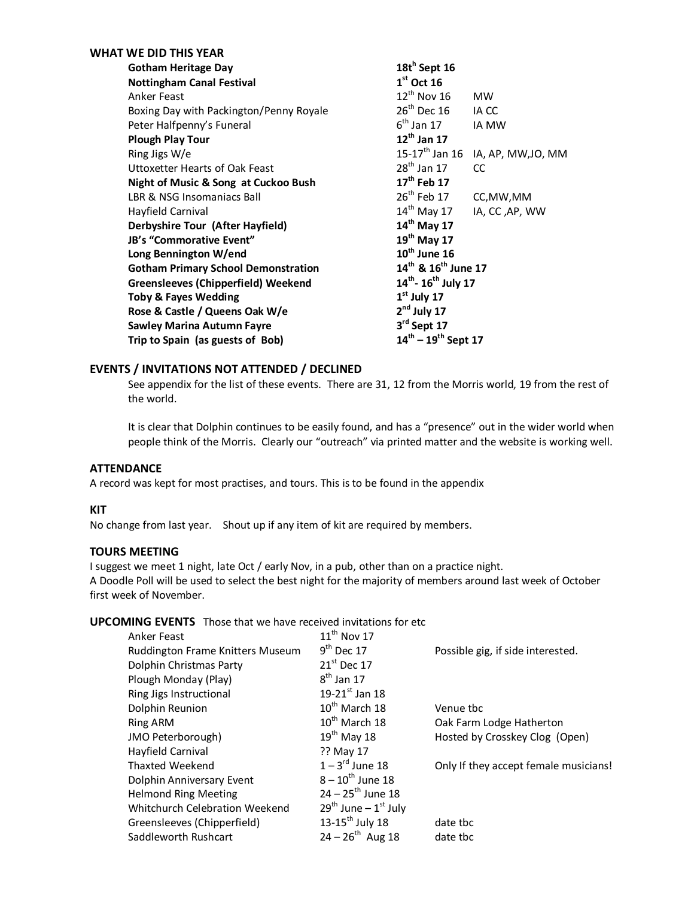| <b>WHAT WE DID THIS YEAR</b>               |                                               |  |  |  |  |  |  |  |
|--------------------------------------------|-----------------------------------------------|--|--|--|--|--|--|--|
| <b>Gotham Heritage Day</b>                 | $18t^h$ Sept 16                               |  |  |  |  |  |  |  |
| <b>Nottingham Canal Festival</b>           | $1st$ Oct 16                                  |  |  |  |  |  |  |  |
| Anker Feast                                | $12^{th}$ Nov 16<br><b>MW</b>                 |  |  |  |  |  |  |  |
| Boxing Day with Packington/Penny Royale    | $26th$ Dec 16<br>IA CC                        |  |  |  |  |  |  |  |
| Peter Halfpenny's Funeral                  | $6^{\text{th}}$ Jan 17<br>IA MW               |  |  |  |  |  |  |  |
| <b>Plough Play Tour</b>                    | $12^{th}$ Jan 17                              |  |  |  |  |  |  |  |
| Ring Jigs W/e                              | 15-17 <sup>th</sup> Jan 16 IA, AP, MW, JO, MM |  |  |  |  |  |  |  |
| Uttoxetter Hearts of Oak Feast             | $28^{\text{th}}$ Jan 17<br><b>CC</b>          |  |  |  |  |  |  |  |
| Night of Music & Song at Cuckoo Bush       | 17 <sup>th</sup> Feb 17                       |  |  |  |  |  |  |  |
| LBR & NSG Insomaniacs Ball                 | 26 <sup>th</sup> Feb 17 CC, MW, MM            |  |  |  |  |  |  |  |
| Hayfield Carnival                          | $14^{\text{th}}$ May 17<br>IA, CC ,AP, WW     |  |  |  |  |  |  |  |
| Derbyshire Tour (After Hayfield)           | $14th$ May 17                                 |  |  |  |  |  |  |  |
| JB's "Commorative Event"                   | 19 <sup>th</sup> May 17                       |  |  |  |  |  |  |  |
| Long Bennington W/end                      | $10th$ June 16                                |  |  |  |  |  |  |  |
| <b>Gotham Primary School Demonstration</b> | 14 <sup>th</sup> & 16 <sup>th</sup> June 17   |  |  |  |  |  |  |  |
| <b>Greensleeves (Chipperfield) Weekend</b> | 14 <sup>th</sup> -16 <sup>th</sup> July 17    |  |  |  |  |  |  |  |
| <b>Toby &amp; Fayes Wedding</b>            | $1st$ July 17                                 |  |  |  |  |  |  |  |
| Rose & Castle / Queens Oak W/e             | $2nd$ July 17                                 |  |  |  |  |  |  |  |
| <b>Sawley Marina Autumn Fayre</b>          | 3rd Sept 17                                   |  |  |  |  |  |  |  |
| Trip to Spain (as guests of Bob)           | $14^{\text{th}} - 19^{\text{th}}$ Sept 17     |  |  |  |  |  |  |  |

### **EVENTS / INVITATIONS NOT ATTENDED / DECLINED**

See appendix for the list of these events. There are 31, 12 from the Morris world, 19 from the rest of the world.

It is clear that Dolphin continues to be easily found, and has a "presence" out in the wider world when people think of the Morris. Clearly our "outreach" via printed matter and the website is working well.

## **ATTENDANCE**

A record was kept for most practises, and tours. This is to be found in the appendix

#### **KIT**

No change from last year. Shout up if any item of kit are required by members.

#### **TOURS MEETING**

I suggest we meet 1 night, late Oct / early Nov, in a pub, other than on a practice night. A Doodle Poll will be used to select the best night for the majority of members around last week of October first week of November.

#### **UPCOMING EVENTS** Those that we have received invitations for etc

| Anker Feast                      | $11th$ Nov 17                   |                                       |
|----------------------------------|---------------------------------|---------------------------------------|
| Ruddington Frame Knitters Museum | $9th$ Dec 17                    | Possible gig, if side interested.     |
| Dolphin Christmas Party          | $21st$ Dec 17                   |                                       |
| Plough Monday (Play)             | $8th$ Jan 17                    |                                       |
| Ring Jigs Instructional          | 19-21st Jan 18                  |                                       |
| Dolphin Reunion                  | $10^{th}$ March 18              | Venue tbc                             |
| Ring ARM                         | $10^{th}$ March 18              | Oak Farm Lodge Hatherton              |
| JMO Peterborough)                | $19th$ May 18                   | Hosted by Crosskey Clog (Open)        |
| Hayfield Carnival                | ?? May 17                       |                                       |
| Thaxted Weekend                  | $1-3^{\text{rd}}$ June 18       | Only If they accept female musicians! |
| Dolphin Anniversary Event        | $8 - 10^{th}$ June 18           |                                       |
| <b>Helmond Ring Meeting</b>      | $24 - 25$ <sup>th</sup> June 18 |                                       |
| Whitchurch Celebration Weekend   | $29^{th}$ June – $1^{st}$ July  |                                       |
| Greensleeves (Chipperfield)      | 13-15 <sup>th</sup> July 18     | date tbc                              |
| Saddleworth Rushcart             | $24 - 26^{th}$ Aug 18           | date tbc                              |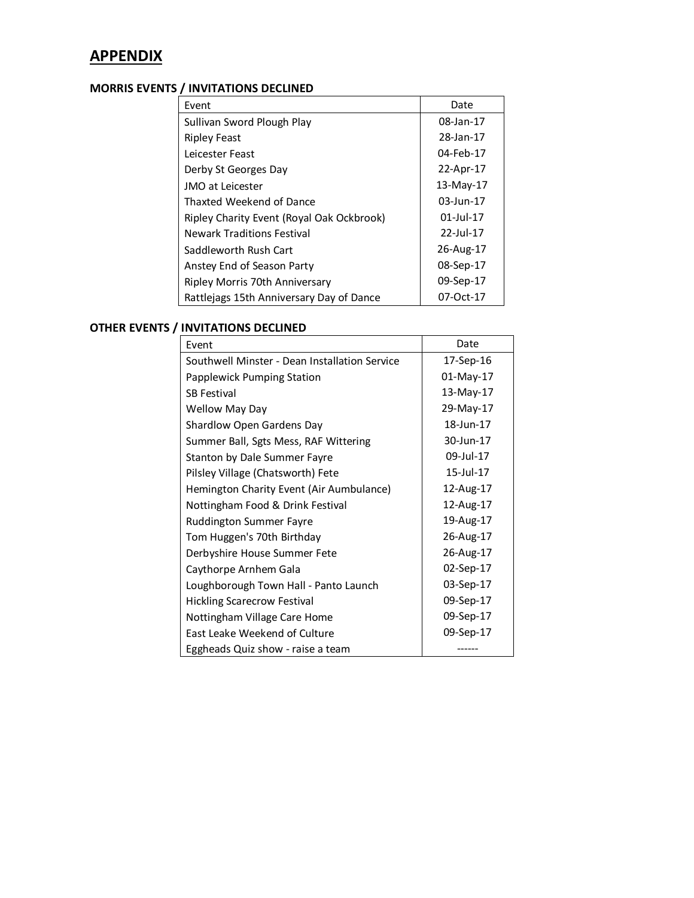# **APPENDIX**

## **MORRIS EVENTS / INVITATIONS DECLINED**

| Event                                     | Date         |
|-------------------------------------------|--------------|
| Sullivan Sword Plough Play                | 08-Jan-17    |
| <b>Ripley Feast</b>                       | 28-Jan-17    |
| Leicester Feast                           | 04-Feb-17    |
| Derby St Georges Day                      | 22-Apr-17    |
| JMO at Leicester                          | 13-May-17    |
| Thaxted Weekend of Dance                  | 03-Jun-17    |
| Ripley Charity Event (Royal Oak Ockbrook) | $01$ -Jul-17 |
| <b>Newark Traditions Festival</b>         | 22-Jul-17    |
| Saddleworth Rush Cart                     | 26-Aug-17    |
| Anstey End of Season Party                | 08-Sep-17    |
| Ripley Morris 70th Anniversary            | 09-Sep-17    |
| Rattlejags 15th Anniversary Day of Dance  | 07-Oct-17    |

# **OTHER EVENTS / INVITATIONS DECLINED**

| Event                                         | Date         |
|-----------------------------------------------|--------------|
| Southwell Minster - Dean Installation Service | 17-Sep-16    |
| Papplewick Pumping Station                    | $01$ -May-17 |
| <b>SB Festival</b>                            | 13-May-17    |
| <b>Wellow May Day</b>                         | 29-May-17    |
| Shardlow Open Gardens Day                     | 18-Jun-17    |
| Summer Ball, Sgts Mess, RAF Wittering         | 30-Jun-17    |
| Stanton by Dale Summer Fayre                  | 09-Jul-17    |
| Pilsley Village (Chatsworth) Fete             | 15-Jul-17    |
| Hemington Charity Event (Air Aumbulance)      | 12-Aug-17    |
| Nottingham Food & Drink Festival              | 12-Aug-17    |
| <b>Ruddington Summer Fayre</b>                | 19-Aug-17    |
| Tom Huggen's 70th Birthday                    | 26-Aug-17    |
| Derbyshire House Summer Fete                  | 26-Aug-17    |
| Caythorpe Arnhem Gala                         | 02-Sep-17    |
| Loughborough Town Hall - Panto Launch         | 03-Sep-17    |
| <b>Hickling Scarecrow Festival</b>            | 09-Sep-17    |
| Nottingham Village Care Home                  | 09-Sep-17    |
| East Leake Weekend of Culture                 | 09-Sep-17    |
| Eggheads Quiz show - raise a team             |              |